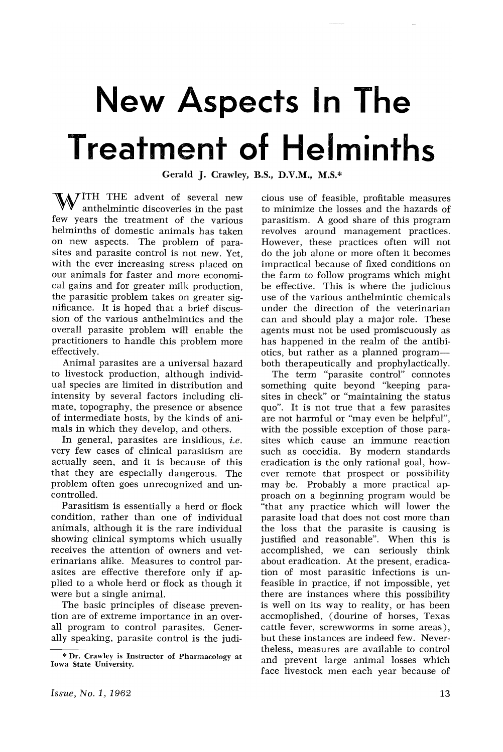# **New Aspects In The Treatment of Helminths**

Gerald J. Crawley, B.S., D.V.M., M.S.\*

 $\mathbb{W}^{\text{ITH}}$  THE advent of several new anthelmintic discoveries in the past few years the treatment of the various helminths of domestic animals has taken on new aspects. The problem of parasites and parasite control is not new. Yet, with the ever increasing stress placed on our animals for faster and more economical gains and for greater milk production, the parasitic problem takes on greater significance. It is hoped that a brief discussion of the various anthelmintics and the overall parasite problem will enable the practitioners to handle this problem more effectively.

Animal parasites are a universal hazard to livestock production, although individual species are limited in distribution and intensity by several factors including climate, topography, the presence or absence of intermediate hosts, by the kinds of animals in which they develop, and others.

In general, parasites are insidious, *i.e.* very few cases of clinical parasitism are actually seen, and it is because of this that they are especially dangerous. The problem often goes unrecognized and uncontrolled.

Parasitism is essentially a herd or flock condition, rather than one of individual animals, although it is the rare individual showing clinical symptoms which usually receives the attention of owners and veterinarians alike. Measures to control parasites are effective therefore only if applied to a whole herd or flock as though it were but a single animal.

The basic principles of disease prevention are of extreme importance in an overall program to control parasites. Generally speaking, parasite control is the judicious use of feasible, profitable measures to minimize the losses and the hazards of parasitism. A good share of this program revolves around management practices. However, these practices often will not do the job alone or more often it becomes impractical because of fixed conditions on the farm to follow programs which might be effective. This is where the judicious use of the various anthelmintic chemicals under the direction of the veterinarian can and should playa major role. These agents must not be used promiscuously as has happened in the realm of the antibiotics, but rather as a planned programboth therapeutically and prophylactically.

The term "parasite control" connotes something quite beyond "keeping parasites in check" or "maintaining the status quo". It is not true that a few parasites are not harmful or "may even be helpful", with the possible exception of those parasites which cause an immune reaction such as coccidia. By modern standards eradication is the only rational goal, however remote that prospect or possibility may be. Probably a more practical approach on a beginning program would be "that any practice which will lower the parasite load that does not cost more than the loss that the parasite is causing is justified and reasonable". When this is accomplished, we can seriously think about eradication. At the present, eradication of most parasitic infections is unfeasible in practice, if not impossible, yet there are instances where this possibility is well on its way to reality, or has been accmoplished, (dourine of horses, Texas cattle fever, screwworms in some areas), but these instances are indeed few. Nevertheless, measures are available to control and prevent large animal losses which face livestock men each year because of

<sup>\*</sup> Dr. Crawley is Instructor of Pharmacology at Iowa State University.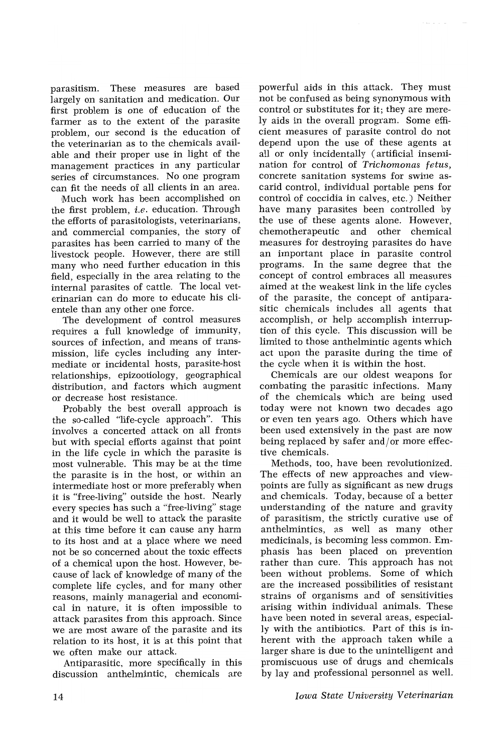parasitism. These measures are based largely on sanitation and medication. Our first problem is one of education of the farmer as to the extent of the parasite problem, our second is the education of the veterinarian as to the chemicals available and their proper use in light of the management practices in any particular series of circumstances. No one program can fit the needs of all clients in an area.

Much work has been accomplished on the first problem, *i.e.* education. Through the efforts of parasitologists, veterinarians, and commercial companies, the story of parasites has been carried to many of the livestock people. However, there are still many who need further education in this field, especially in the area relating to the internal parasites of cattle. The local veterinarian can do more to educate his clientele than any other one force.

The development of control measures requires a full knowledge of immunity, sources of infection, and means of transmission, life cycles including any intermediate or incidental hosts, parasite-host relationships, epizootiology, geographical distribution, and factors which augment or decrease host resistance.

'Probably the best overall approach is the so-called "life-cycle approach". This involves a concerted attack on all fronts but with special efforts against that point in the life cycle in which the parasite is most vulnerable. This may be at the time the parasite is in the host, or within an intermediate host or more preferably when it is "free-living" outside the host. Nearly every species has such a "free-living" stage and it would be well to attack the parasite at this time before it can cause any harm to its host and at a place where we need not be so concerned about the toxic effects of a chemical upon the host. However, because of lack of knowledge of many of the complete life cycles, and for many other reasons, mainly managerial and economical in nature, it is often impossible to attack parasites from this approach. Since we are most aware of the parasite and its relation to its host, it is at this point that we often make our attack.

Antiparasitic, more specifically in this discussion anthelmintic, chemicals are

powerful aids in this attack. They must not be confused as being synonymous with control or substitutes for it; they are merely aids in the overall program. Some efficient measures of parasite control do not depend upon the use of these agents at all or only incidentally (artificial insemination for control of *Trichomonas fetus*, concrete sanitation systems for swine ascarid control, individual portable pens for control of coccidia in calves, etc.) Neither have many parasites been controlled by the use of these agents alone. However, chemotherapeutic and other chemical measures for destroying parasites do have an important place in parasite control programs. In the same degree that the concept of control embraces all measures aimed at the weakest link in the life cycles of the parasite, the concept of antiparasitic chemicals includes all agents that accomplish, or help accomplish interruption of this cycle. This discussion will be limited to those anthelmintic agents which act upon the parasite during the time of the cycle when it is within the host.

Chemicals are our oldest weapons for combating the parasitic infections. Many of the chemicals which are being used today were not known two decades ago or even ten years ago. Others which have been used extensively in the past are now being replaced by safer and/or more effective chemicals.

Methods, too, have been revolutionized. The effects of new approaches and viewpoints are fully as significant as new drugs and chemicals. Today, because of a better understanding of the nature and gravity of parasitism, the strictly curative use of anthelmintics, as well as many other medicinals, is becoming less common. Emphasis has been placed on prevention rather than cure. This approach has not been without problems. Some of which are the increased possibilities of resistant strains of organisms and of sensitivities arising within individual animals. These have been noted in several areas, especially with the antibiotics. Part of this is inherent with the approach taken while a larger share is due to the unintelligent and promiscuous use of drugs and chemicals by lay and professional personnel as well.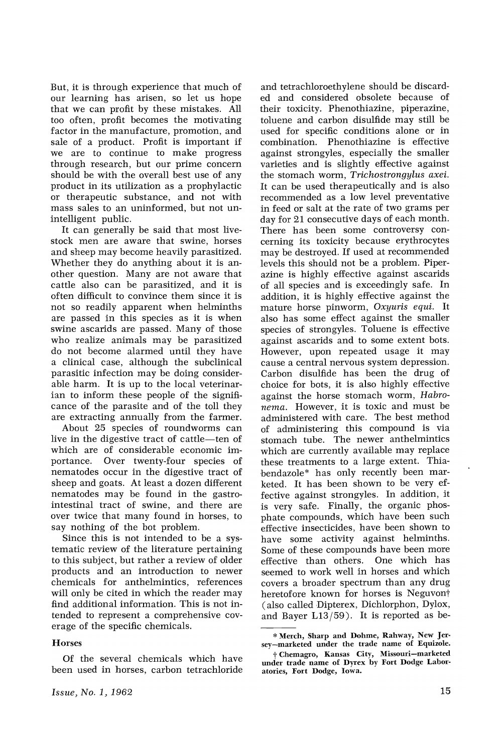But, it is through experience that much of our learning has arisen, so let us hope that we can profit by these mistakes. All too often, profit becomes the motivating factor in the manufacture, promotion, and sale of a product. Profit is important if we are to continue to make progress through research, but our prime concern should be with the overall best use of any product in its utilization as a prophylactic or therapeutic substance, and not with mass sales to an uninformed, but not unintelligent public.

It can generally be said that most livestock men are aware that swine, horses and sheep may become heavily parasitized. Whether they do anything about it is another question. Many are not aware that cattle also can be parasitized, and it is often difficult to convince them since it is not so readily apparent when helminths are passed in this species as it is when swine ascarids are passed. Many of those who realize animals may be parasitized do not become alarmed until they have a clinical case, although the subclinical parasitic infection may be doing considerable harm. It is up to the local veterinarian to inform these people of the significance of the parasite and of the toll they are extracting annually from the farmer.

About 25 species of roundworms can live in the digestive tract of cattle—ten of which are of considerable economic importance. Over twenty-four species of nematodes occur in the digestive tract of sheep and goats. At least a dozen different nematodes may be found in the gastrointestinal tract of swine, and there are over twice that many found in horses, to say nothing of the bot problem.

Since this is not intended to be a systematic review of the literature pertaining to this subject, but rather a review of older products and an introduction to newer chemicals for anthelmintics, references will only be cited in which the reader may find additional information. This is not intended to represent a comprehensive coverage of the specific chemicals.

#### **Horses**

Of the several chemicals which have been used in horses, carbon tetrachloride

and tetrachloroethylene should be discarded and considered obsolete because of their toxicity. Phenothiazine, piperazine, toluene and carbon disulfide may still be used for specific conditions alone or in combination. Phenothiazine is effective against strongyles, especially the smaller varieties and is slightly effective against the stomach worm, *Trichostrongylus axei.* It can be used therapeutically and is also recommended as a low level preventative in feed or salt at the rate of two grams per day for 21 consecutive days of each month. There has been some controversy concerning its toxicity because erythrocytes may be destroyed. If used at recommended levels this should not be a problem. Piperazine is highly effective against ascarids of all species and is exceedingly safe. In addition, it is highly effective against the mature horse pinworm, *Oxyuris equ,i.* It also has some effect against the smaller species of strongyles. Toluene is effective against ascarids and to some extent bots. However, upon repeated usage it may cause a central nervous system depression. Carbon disulfide has been the drug of choice for bots, it is also highly effective against the horse stomach worm, *Habronema.* However, it is toxic and must be administered with care. The best method of administering this compound is via stomach tube. The newer anthelmintics which are currently available may replace these treatments to a large extent. Thiabendazole\* has only recently been marketed. It has been shown to be very effective against strongyles. In addition, it is very safe. Finally, the organic phosphate compounds, which have been such effective insecticides, have been shown to have some activity against helminths. Some of these compounds have been more effective than others. One which has seemed to work well in horses and which covers a broader spectrum than any drug heretofore known for horses is Neguvont (also called Dipterex, Dichlorphon, Dylox, and Bayer L13/59). It is reported as be-

<sup>\*</sup> Merch, Sharp and Dohme, Rahway, New Jersey-marketed under the trade name of Equizole.

t Chemagro, Kansas City, Missouri-marketed under trade name of Dyrex by Fort Dodge Laboratories, Fort Dodge, Iowa.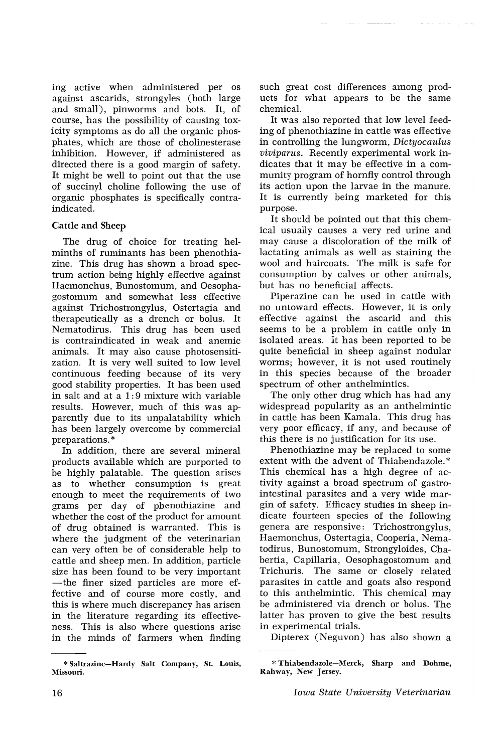ing active when administered per os against ascarids, strongyles (both large and small), pinworms and bots. It, of course, has the possibility of causing toxicity symptoms as do all the organic phosphates, which are those of cholinesterase inhibition. However, if administered as directed there is a good margin of safety. It might be well to point out that the use of succinyl choline following the use of organic phosphates is specifically contraindicated.

## Cattle and Sheep

The drug of choice for treating helminths of ruminants has been phenothiazine. This drug has shown a broad spectrum action being highly effective against Haemonchus, Bunostomum, and Oesophagostomum and somewhat less effective against Trichostrongylus, Ostertagia and therapeutically as a drench or bolus. It Nematodirus. This drug has been used is contraindicated in weak and anemic animals. It may also cause photosensitization. It is very well suited to low level continuous feeding because of its very good stability properties. It has been used in salt and at a 1: 9 mixture with variable results. However, much of this was apparently due to its unpalatability which has been largely overcome by commercial preparations.\*

In addition, there are several mineral products available which are purported to be highly palatable. The question arises as to whether consumption is great enough to meet the requirements of two grams per day of phenothiazine and whether the cost of the product for amount of drug obtained is warranted. This is where the judgment of the veterinarian can very often be of considerable help to cattle and sheep men. In addition, particle size has been found to be very important -the finer sized particles are more effective and of course more costly, and this is where much discrepancy has arisen in the literature regarding its effectiveness. This is also where questions arise in the minds of farmers when finding

\* Saltrazine-Hardy Salt Company, St. Louis, Missouri.

such great cost differences among products for what appears to be the same chemical.

It was also reported that low level feeding of phenothiazine in cattle was effective in controlling the lungworm, *Dictyocaulus viviparus.* Recently experimental work indicates that it may be effective in a community program of hornfly control through its action upon the larvae in the manure. It is currently being marketed for this purpose.

It should be pointed out that this chemical usually causes a very red urine and may cause a discoloration of the milk of lactating animals as well as staining the wool and haircoats. The milk is safe for consumption by calves or other animals, but has no beneficial affects.

Piperazine can be used in cattle with no untoward effects. However, it is only effective against the asoarid and this seems to be a problem in cattle only in isolated areas. It has been reported to be quite beneficial in sheep against nodular worms; however, it is not used routinely in this species because of the broader spectrum of other anthelmintics.

The only other drug which has had any widespread popularity as an anthelmintic in cattle has been Kamala. This drug has very poor efficacy, if any, and because of this there is no justification for its use.

Phenothiazine may be replaced to some extent with the advent of Thiabendazole.\* This chemical has a high degree of activity against a broad spectrum of gastrointestinal parasites and a very wide margin of safety. Efficacy studies in sheep indicate fourteen species of the following genera are responsive: Trichostrongylus, Haemonchus, Ostertagia, Cooperia, Nematodirus, Bunostomum, Strongyloides, Chabertia, Capillaria, Oesophagostomum and Trichuris. The same or closely related parasites in cattle and goats also respond to this anthelmintic. This chemical may be administered via drench or bolus. The latter has proven to give the best results in experimental trials.

Dipterex (Neguvon) has also shown a

<sup>\*</sup>Thiabendazole-Merck, Sharp and Dohme, Rahway, New Jersey.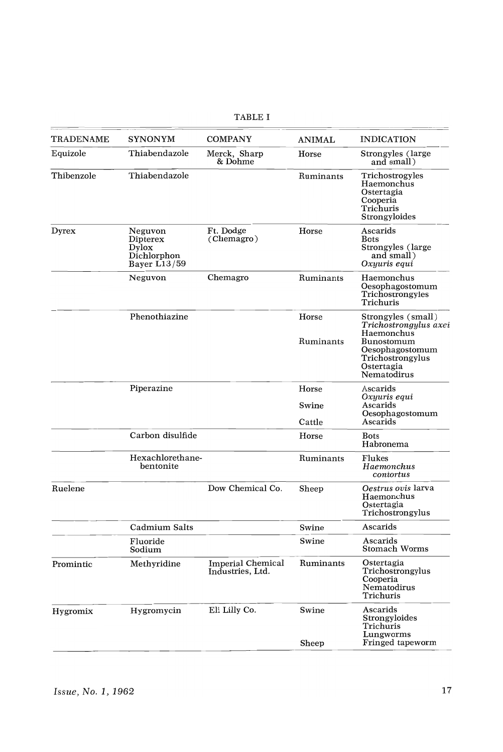| ABL |  |  |
|-----|--|--|
|-----|--|--|

| <b>TRADENAME</b> | <b>SYNONYM</b>                                              | <b>COMPANY</b>                               | ANIMAL                   | <b>INDICATION</b>                                                                                                                           |
|------------------|-------------------------------------------------------------|----------------------------------------------|--------------------------|---------------------------------------------------------------------------------------------------------------------------------------------|
| Equizole         | Thiabendazole                                               | Merck, Sharp<br>& Dohme                      | Horse                    | Strongyles (large<br>and small)                                                                                                             |
| Thibenzole       | Thiabendazole                                               |                                              | Ruminants                | Trichostrogyles<br>Haemonchus<br>Ostertagia<br>Cooperia<br>Trichuris<br>Strongyloides                                                       |
| Dyrex            | Neguvon<br>Dipterex<br>Dylox<br>Dichlorphon<br>Bayer L13/59 | Ft. Dodge<br>(Chemagro)                      | Horse                    | Ascarids<br>Bots<br>Strongyles (large)<br>and small)<br>Oxyuris equi                                                                        |
|                  | Neguvon                                                     | Chemagro                                     | Ruminants                | Haemonchus<br>Oesophagostomum<br>Trichostrongyles<br>Trichuris                                                                              |
|                  | Phenothiazine                                               |                                              | Horse<br>Ruminants       | Strongyles (small)<br>Trichostrongylus axei<br>Haemonchus<br>Bunostomum<br>Oesophagostomum<br>Trichostrongylus<br>Ostertagia<br>Nematodirus |
|                  | Piperazine                                                  |                                              | Horse<br>Swine<br>Cattle | Ascarids<br>Oxyuris equi<br>Ascarids<br>Oesophagostomum<br>Ascarids                                                                         |
|                  | Carbon disulfide                                            |                                              | Horse                    | <b>Bots</b><br>Habronema                                                                                                                    |
|                  | Hexachlorethane-<br>bentonite                               |                                              | Ruminants                | Flukes<br>Haemonchus<br>contortus                                                                                                           |
| Ruelene          |                                                             | Dow Chemical Co.                             | Sheep                    | <i>Oestrus ovis</i> larva<br>Haemonchus<br>Ostertagia<br>Trichostrongylus                                                                   |
|                  | Cadmium Salts                                               |                                              | Swine                    | Ascarids                                                                                                                                    |
|                  | Fluoride<br>Sodium                                          |                                              | ${\bf Swine}$            | Ascarids<br><b>Stomach Worms</b>                                                                                                            |
| Promintic        | Methyridine                                                 | <b>Imperial Chemical</b><br>Industries, Ltd. | Ruminants                | Ostertagia<br>Trichostrongylus<br>Cooperia<br>Nematodirus<br>Trichuris                                                                      |
| Hygromix         | Hygromycin                                                  | Eli Lilly Co.                                | Swine<br>Sheep           | Ascarids<br>Strongyloides<br>Trichuris<br>Lungworms<br>Fringed tapeworm                                                                     |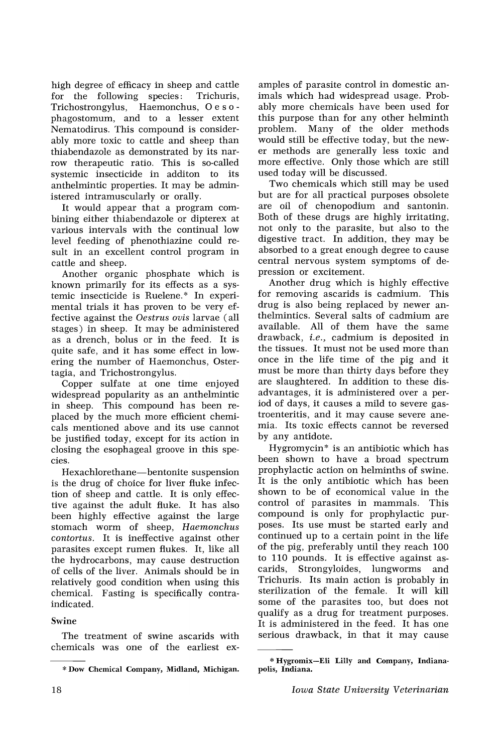high degree of efficacy in sheep and cattle for the following species: Trichuris, Trichostrongylus, Haemonchus, O e s o phagostomum, and to a lesser extent Nematodirus. This compound is considerably more toxic to cattle and sheep than thiabendazole as demonstrated by its narrow therapeutic ratio. This is so-called systemic insecticide in additon to its anthelmintic properties. It may be administered intramuscularly or orally.

It would appear that a program combining either thiabendazole or dipterex at various intervals with the continual low level feeding of phenothiazine could result in an excellent control program in cattle and sheep.

Another organic phosphate which is known primarily for its effects as a systemic insecticide is Ruelene. \* In experimental trials it has proven to be very effective against the *Oestrus ovis* larvae (all stages) in sheep. It may be administered as a drench, bolus or in the feed. It is quite safe, and it has some effect in lowering the number of Haemonchus, Ostertagia, and Trichostrongylus.

Copper sulfate at one time enjoyed widespread popularity as an anthelmintic in sheep. This compound has been replaced by the much more efficient chemicals mentioned above and its use cannot be justified today, except for its action in closing the esophageal groove in this species.

Hexachlorethane-bentonite suspension is the drug of choice for liver fluke infection of sheep and cattle. It is only effective against the adult fluke. It has also been highly effective against the large stomach worm of sheep, *Haemonchus contortus.* It is ineffective against other parasites except rumen flukes. It, like all the hydrocarbons, may cause destruction of cells of the liver. Animals should be in relatively good condition when using this chemical. Fasting is specifically contraindicated.

### Swine

The treatment of swine ascarids with chemicals was one of the earliest examples of parasite control in domestic animals which had widespread usage. Probably more chemicals have been used for this purpose than for any other helminth problem. Many of the older methods would still be effective today, but the newer methods are generally less toxic and more effective. Only those which are still used today will be discussed.

Two chemicals which still may be used but are for all practical purposes obsolete are oil of chenopodium and santonin. Both of these drugs are highly irritating, not only to the parasite, but also to the digestive tract. In addition, they may be absorbed to a great enough degree to cause central nervous system symptoms of depression or excitement.

Another drug which is highly effective for removing ascarids is cadmium. This drug is also being replaced by newer anthelmintics. Several salts of cadmium are available. All of them have the same drawback, *i.e.,* cadmium is deposited in the tissues. It must not be used more than once in the life time of the pig and it must be more than thirty days before they are slaughtered. In addition to these disadvantages, it is administered over a period of days, it causes a mild to severe gastroenteritis, and it may cause severe anemia. Its toxic effects cannot be reversed by any antidote.

Hygromycin\* is an antibiotic which has been shown to have a broad spectrum prophylactic action on helminths of swine. It is the only antibiotic which has been shown to be of economical value in the control of parasites in mammals. This compound is only for prophylactic purposes. Its use must be started early and continued up to a certain point in the life of the pig, preferably until they reach 100 to 110 pounds. It is effective against as-<br>carids, Strongyloides, lungworms and carids, Strongyloides, lungworms Trichuris. Its main action is probably in sterilization of the female. It will kill some of the parasites too, but does not qualify as a drug for treatment purposes. It is administered in the feed. It has one serious drawback, in that it may cause

<sup>\*</sup>Dow Chemical Company, Midland, Michigan.

<sup>\*</sup>Hygromix-Eli Lilly and Company, Indianapolis, Indiana.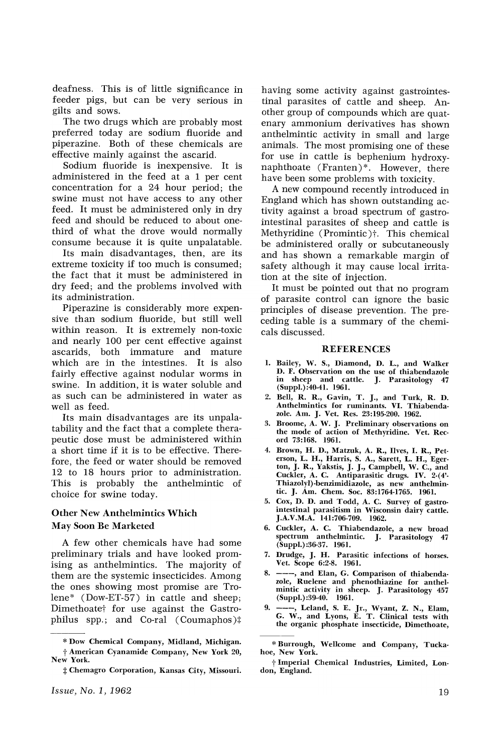deafness. This is of little significance in feeder pigs, but can be very serious in gilts and sows.

The two drugs which are probably most preferred today are sodium fluoride and piperazine. Both of these chemicals are effective mainly against the ascarid.

Sodium fluoride is inexpensive. It is administered in the feed at a 1 per cent concentration for a 24 hour period; the swine must not have access to any other feed. It must be administered only in dry feed and should be reduced to about onethird of what the drove would normally consume because it is quite unpalatable.

Its main disadvantages, then, are its extreme toxicity if too much is consumed; the fact that it must be administered in dry feed; and the problems involved with its administration.

Piperazine is considerably more expensive than sodium fluoride, but still well within reason. It is extremely non-toxic and nearly 100 per cent effective against ascarids, both immature and mature which are in the intestines. It is also fairly effective against nodular worms in swine. In addition, it is water soluble and as such can be administered in water as well as feed.

Its main disadvantages are its unpalatability and the fact that a complete therapeutic dose must be administered within a short time if it is to be effective. Therefore, the feed or water should be removed 12 to 18 hours prior to administration. This is probably the anthelmintic of choice for swine today.

# Other New Anthelmintics Which May Soon Be Marketed

A few other chemicals have had some preliminary trials and have looked promising as anthelmintics. The majority of them are the systemic insecticides. Among the ones showing most promise are Trolene\* (Dow-ET-57) in cattle and sheep; Dimethoate<sup>†</sup> for use against the Gastrophilus spp.; and Co-ral (Coumaphos) $\ddagger$  having some activity against gastrointestinal parasites of cattle and sheep. Another group of compounds which are quatenary ammonium derivatives has shown anthelmintic activity in small and large animals. The most promising one of these for use in cattle is bephenium hydroxynaphthoate (Franten)\*. However, there have been some problems with toxicity.

A new compound recently introduced in England which has shown outstanding activity against a broad spectrum of gastrointestinal parasites of sheep and cattle is Methyridine (Promintic)<sup>†</sup>. This chemical be administered orally or subcutaneously and has shown a remarkable margin of safety although it may cause local irritation at the site of injection.

It must be pointed out that no program of parasite control can ignore the basic principles of disease prevention. The preceding table is a summary of the chemicals discussed.

#### **REFERENCES**

- 1. Bailey, W. S., Diamond, D. L., and Walker D. F. Observation on the use of thiabendazole<br>in sheep and cattle. I. Parasitology 47 in sheep and cattle. J. Parasitology (Supp!.) :40-41. 1961.
- 2. Bell, R. R., Gavin, T. J., and Turk, R. D. Anthelmintics for ruminants. VI. Thiabendazole. Am. J. Vet. Res. 23:195-200. 1962.
- 3. Broome, A. W. J. Preliminary observations on the mode of action of Methyridine. Vet. Record 73:168. 1961.
- 4. Brown, H. D., Matzuk, A. R., lIves, I. R., Peterson, L. H., Harris, S. A., Sarett, L. H., Egerton, J. R., Yakstis, J. J., Campbell, W. C., and Cuckler, A. C. Antiparasitic drugs. IV. 2-(4'- Thiazolyl)-benzimidiazole, as new anthelmintic. J. Am. Chem. Soc. 83:1764-1765. 1961.
- 5. Cox, D. D. and Todd, A. C. Survey of gastrointestinal parasitism in Wisconsin dairy cattle. J.A.V.M.A. 141:706-709. 1962.
- 6. Cuckler, A. C. Thiabendazole, a new broad<br>spectrum anthelmintic. J. Parasitology 47<br>(Sunnl \:86.97) 1061 (Suppl.):36-37. 1961.
- 7. Drudge, J. H. Parasitic infections of horses. Vet. Scope 6:2-8. 1961.<br>———, and Elan, G. Comparison of thiabenda-
- 8. ---, and Elan, G. Comparison of thiabenda-zole, Ruelene and phenothiazine for anthel-mintic activity in sheep. J. Parasitology 457 (Suppl.) :39-40. 1961.
- 9. ---, Leland, S. E. Jr., Wyant, Z. N., Elam, G. W., and Lyons, E. T. Clinical tests with G. W., and Lyons, E. T. Clinical tests with the organic phosphate insecticide, Dimethoate,

\*Burrough, Wellcome and Company, Tuckahoe, New York.

t Imperial Chemical Industries, Limited, London, England.

<sup>\*</sup> Dow Chemical Company, Midland, Michigan. t American Cyanamide Company, New York 20, New York.

<sup>+</sup>Chemagro Corporation, Kansas City, Missouri.